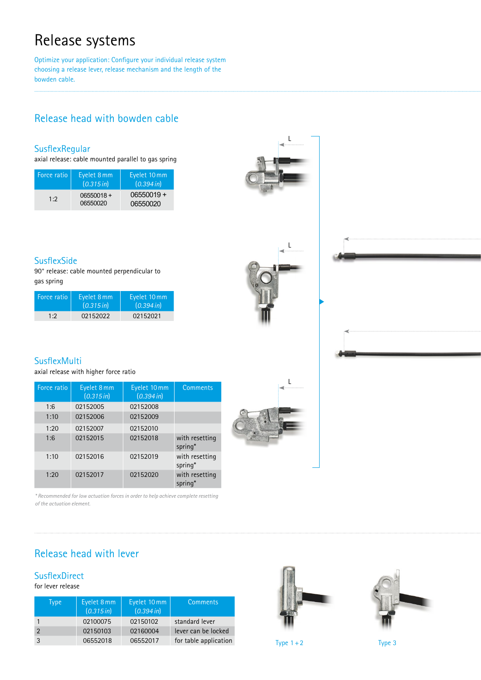# Release systems

Optimize your application: Configure your individual release system choosing a release lever, release mechanism and the length of the bowden cable.

## Release head with bowden cable

### **SusflexRegular**

axial release: cable mounted parallel to gas spring

| <b>Force</b> ratio | Eyelet 8 mm<br>(0.315 in) | Eyelet 10 mm<br>(0.394 in) |
|--------------------|---------------------------|----------------------------|
| 1:2                | $06550018 +$<br>06550020  | $06550019 +$<br>06550020   |





90° release: cable mounted perpendicular to gas spring

| Force ratio | Eyelet 8 mm<br>(0.315 in) | Eyelet 10 mm<br>(0.394 in) |
|-------------|---------------------------|----------------------------|
| 1:2         | 02152022                  | 02152021                   |



## **SusflexMulti**

axial release with higher force ratio

| Force ratio | Eyelet 8 mm<br>(0.315 in) | Eyelet 10 mm<br>$(0.394 \, \text{in})$ | <b>Comments</b>           |
|-------------|---------------------------|----------------------------------------|---------------------------|
| 1:6         | 02152005                  | 02152008                               |                           |
| 1:10        | 02152006                  | 02152009                               |                           |
| 1:20        | 02152007                  | 02152010                               |                           |
| 1:6         | 02152015                  | 02152018                               | with resetting<br>spring* |
| 1:10        | 02152016                  | 02152019                               | with resetting<br>spring* |
| 1:20        | 02152017                  | 02152020                               | with resetting<br>spring* |

*\* Recommended for low actuation forces in order to help achieve complete resetting of the actuation element.*

L

## Release head with lever

## **SusflexDirect**

### for lever release

| Type <sup>1</sup> | Eyelet 8 mm<br>(0.315 in) | Eyelet 10 mm<br>(0.394 in) | <b>Comments</b>       |
|-------------------|---------------------------|----------------------------|-----------------------|
|                   | 02100075                  | 02150102                   | standard lever        |
| $\mathcal{P}$     | 02150103                  | 02160004                   | lever can be locked   |
| 3                 | 06552018                  | 06552017                   | for table application |



Type  $1+2$  Type 3